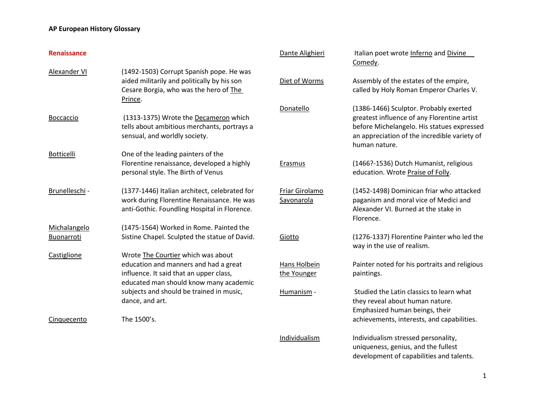| <b>Renaissance</b> |                                                                                                                                                                  | Dante Alighieri              | Italian poet wrote Inferno and Divine<br>Comedy.                                                                                                                                                     |
|--------------------|------------------------------------------------------------------------------------------------------------------------------------------------------------------|------------------------------|------------------------------------------------------------------------------------------------------------------------------------------------------------------------------------------------------|
| Alexander VI       | (1492-1503) Corrupt Spanish pope. He was<br>aided militarily and politically by his son<br>Cesare Borgia, who was the hero of The<br>Prince.                     | Diet of Worms                | Assembly of the estates of the empire,<br>called by Holy Roman Emperor Charles V.                                                                                                                    |
| <b>Boccaccio</b>   | (1313-1375) Wrote the Decameron which<br>tells about ambitious merchants, portrays a<br>sensual, and worldly society.                                            | Donatello                    | (1386-1466) Sculptor. Probably exerted<br>greatest influence of any Florentine artist<br>before Michelangelo. His statues expressed<br>an appreciation of the incredible variety of<br>human nature. |
| <b>Botticelli</b>  | One of the leading painters of the<br>Florentine renaissance, developed a highly<br>personal style. The Birth of Venus                                           | Erasmus                      | (1466?-1536) Dutch Humanist, religious<br>education. Wrote Praise of Folly.                                                                                                                          |
| Brunelleschi -     | (1377-1446) Italian architect, celebrated for<br>work during Florentine Renaissance. He was<br>anti-Gothic. Foundling Hospital in Florence.                      | Friar Girolamo<br>Savonarola | (1452-1498) Dominican friar who attacked<br>paganism and moral vice of Medici and<br>Alexander VI. Burned at the stake in<br>Florence.                                                               |
| Michalangelo       | (1475-1564) Worked in Rome. Painted the                                                                                                                          |                              |                                                                                                                                                                                                      |
| Buonarroti         | Sistine Chapel. Sculpted the statue of David.                                                                                                                    | Giotto                       | (1276-1337) Florentine Painter who led the<br>way in the use of realism.                                                                                                                             |
| Castiglione        | Wrote The Courtier which was about<br>education and manners and had a great<br>influence. It said that an upper class,<br>educated man should know many academic | Hans Holbein<br>the Younger  | Painter noted for his portraits and religious<br>paintings.                                                                                                                                          |
|                    | subjects and should be trained in music,<br>dance, and art.                                                                                                      | Humanism -                   | Studied the Latin classics to learn what<br>they reveal about human nature.<br>Emphasized human beings, their                                                                                        |
| Cinquecento        | The 1500's.                                                                                                                                                      |                              | achievements, interests, and capabilities.                                                                                                                                                           |
|                    |                                                                                                                                                                  | Individualism                | Individualism stressed personality,<br>uniqueness, genius, and the fullest                                                                                                                           |

development of capabilities and talents.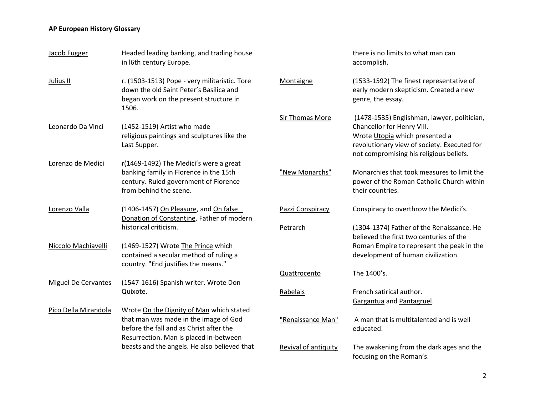| Jacob Fugger               | Headed leading banking, and trading house<br>in I6th century Europe.                                                                        |                      | there is no limits to what man can<br>accomplish.                                                                                                      |
|----------------------------|---------------------------------------------------------------------------------------------------------------------------------------------|----------------------|--------------------------------------------------------------------------------------------------------------------------------------------------------|
| Julius II                  | r. (1503-1513) Pope - very militaristic. Tore<br>down the old Saint Peter's Basilica and<br>began work on the present structure in<br>1506. | Montaigne            | (1533-1592) The finest representative of<br>early modern skepticism. Created a new<br>genre, the essay.                                                |
|                            |                                                                                                                                             | Sir Thomas More      | (1478-1535) Englishman, lawyer, politician,                                                                                                            |
| Leonardo Da Vinci          | (1452-1519) Artist who made<br>religious paintings and sculptures like the<br>Last Supper.                                                  |                      | Chancellor for Henry VIII.<br>Wrote Utopia which presented a<br>revolutionary view of society. Executed for<br>not compromising his religious beliefs. |
| Lorenzo de Medici          | r(1469-1492) The Medici's were a great                                                                                                      |                      |                                                                                                                                                        |
|                            | banking family in Florence in the 15th<br>century. Ruled government of Florence<br>from behind the scene.                                   | "New Monarchs"       | Monarchies that took measures to limit the<br>power of the Roman Catholic Church within<br>their countries.                                            |
| Lorenzo Valla              | (1406-1457) On Pleasure, and On false<br>Donation of Constantine. Father of modern                                                          | Pazzi Conspiracy     | Conspiracy to overthrow the Medici's.                                                                                                                  |
|                            | historical criticism.                                                                                                                       | Petrarch             | (1304-1374) Father of the Renaissance. He<br>believed the first two centuries of the                                                                   |
| Niccolo Machiavelli        | (1469-1527) Wrote The Prince which<br>contained a secular method of ruling a<br>country. "End justifies the means."                         |                      | Roman Empire to represent the peak in the<br>development of human civilization.                                                                        |
|                            |                                                                                                                                             | Quattrocento         | The 1400's.                                                                                                                                            |
| <b>Miguel De Cervantes</b> | (1547-1616) Spanish writer. Wrote Don                                                                                                       |                      |                                                                                                                                                        |
|                            | Quixote.                                                                                                                                    | Rabelais             | French satirical author.<br>Gargantua and Pantagruel.                                                                                                  |
| Pico Della Mirandola       | Wrote On the Dignity of Man which stated                                                                                                    |                      |                                                                                                                                                        |
|                            | that man was made in the image of God<br>before the fall and as Christ after the<br>Resurrection. Man is placed in-between                  | "Renaissance Man"    | A man that is multitalented and is well<br>educated.                                                                                                   |
|                            | beasts and the angels. He also believed that                                                                                                | Revival of antiquity | The awakening from the dark ages and the<br>focusing on the Roman's.                                                                                   |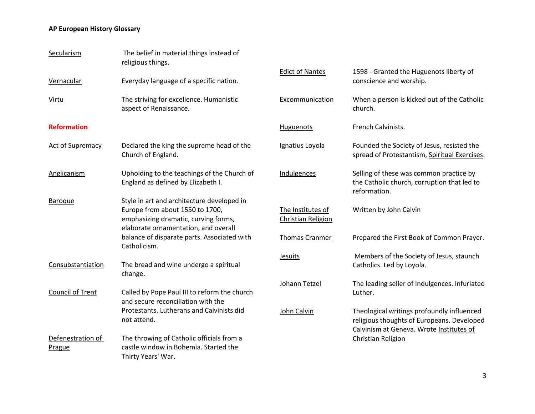| Secularism                  | The belief in material things instead of<br>religious things.                                                                                                 |                                         |                                                                                                        |
|-----------------------------|---------------------------------------------------------------------------------------------------------------------------------------------------------------|-----------------------------------------|--------------------------------------------------------------------------------------------------------|
| Vernacular                  | Everyday language of a specific nation.                                                                                                                       | <b>Edict of Nantes</b>                  | 1598 - Granted the Huguenots liberty of<br>conscience and worship.                                     |
| Virtu                       | The striving for excellence. Humanistic<br>aspect of Renaissance.                                                                                             | Excommunication                         | When a person is kicked out of the Catholic<br>church.                                                 |
| <b>Reformation</b>          |                                                                                                                                                               | Huguenots                               | French Calvinists.                                                                                     |
| <b>Act of Supremacy</b>     | Declared the king the supreme head of the<br>Church of England.                                                                                               | Ignatius Loyola                         | Founded the Society of Jesus, resisted the<br>spread of Protestantism, Spiritual Exercises.            |
| Anglicanism                 | Upholding to the teachings of the Church of<br>England as defined by Elizabeth I.                                                                             | Indulgences                             | Selling of these was common practice by<br>the Catholic church, corruption that led to<br>reformation. |
| <b>Baroque</b>              | Style in art and architecture developed in<br>Europe from about 1550 to 1700,<br>emphasizing dramatic, curving forms,<br>elaborate ornamentation, and overall | The Institutes of<br>Christian Religion | Written by John Calvin                                                                                 |
|                             | balance of disparate parts. Associated with<br>Catholicism.                                                                                                   | <b>Thomas Cranmer</b>                   | Prepared the First Book of Common Prayer.                                                              |
| Consubstantiation           | The bread and wine undergo a spiritual<br>change.                                                                                                             | <b>Jesuits</b>                          | Members of the Society of Jesus, staunch<br>Catholics. Led by Loyola.                                  |
| <b>Council of Trent</b>     | Called by Pope Paul III to reform the church<br>and secure reconciliation with the                                                                            | Johann Tetzel                           | The leading seller of Indulgences. Infuriated<br>Luther.                                               |
|                             | Protestants. Lutherans and Calvinists did<br>not attend.                                                                                                      | John Calvin                             | Theological writings profoundly influenced<br>religious thoughts of Europeans. Developed               |
| Defenestration of<br>Prague | The throwing of Catholic officials from a<br>castle window in Bohemia. Started the<br>Thirty Years' War.                                                      |                                         | Calvinism at Geneva. Wrote Institutes of<br><b>Christian Religion</b>                                  |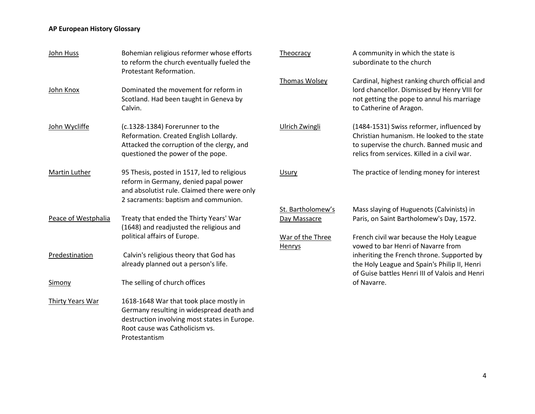| John Huss           | Bohemian religious reformer whose efforts<br>to reform the church eventually fueled the<br>Protestant Reformation.                                                                      | Theocracy                  | A community in which the state is<br>subordinate to the church                                                                                                                       |
|---------------------|-----------------------------------------------------------------------------------------------------------------------------------------------------------------------------------------|----------------------------|--------------------------------------------------------------------------------------------------------------------------------------------------------------------------------------|
| John Knox           | Dominated the movement for reform in<br>Scotland. Had been taught in Geneva by<br>Calvin.                                                                                               | Thomas Wolsey              | Cardinal, highest ranking church official and<br>lord chancellor. Dismissed by Henry VIII for<br>not getting the pope to annul his marriage<br>to Catherine of Aragon.               |
| John Wycliffe       | (c.1328-1384) Forerunner to the<br>Reformation. Created English Lollardy.<br>Attacked the corruption of the clergy, and<br>questioned the power of the pope.                            | Ulrich Zwingli             | (1484-1531) Swiss reformer, influenced by<br>Christian humanism. He looked to the state<br>to supervise the church. Banned music and<br>relics from services. Killed in a civil war. |
| Martin Luther       | 95 Thesis, posted in 1517, led to religious<br>reform in Germany, denied papal power<br>and absolutist rule. Claimed there were only<br>2 sacraments: baptism and communion.            | Usury                      | The practice of lending money for interest                                                                                                                                           |
|                     |                                                                                                                                                                                         | St. Bartholomew's          | Mass slaying of Huguenots (Calvinists) in                                                                                                                                            |
| Peace of Westphalia | Treaty that ended the Thirty Years' War<br>(1648) and readjusted the religious and                                                                                                      | Day Massacre               | Paris, on Saint Bartholomew's Day, 1572.                                                                                                                                             |
|                     | political affairs of Europe.                                                                                                                                                            | War of the Three<br>Henrys | French civil war because the Holy League<br>vowed to bar Henri of Navarre from                                                                                                       |
| Predestination      | Calvin's religious theory that God has<br>already planned out a person's life.                                                                                                          |                            | inheriting the French throne. Supported by<br>the Holy League and Spain's Philip II, Henri<br>of Guise battles Henri III of Valois and Henri                                         |
| Simony              | The selling of church offices                                                                                                                                                           |                            | of Navarre.                                                                                                                                                                          |
| Thirty Years War    | 1618-1648 War that took place mostly in<br>Germany resulting in widespread death and<br>destruction involving most states in Europe.<br>Root cause was Catholicism vs.<br>Protestantism |                            |                                                                                                                                                                                      |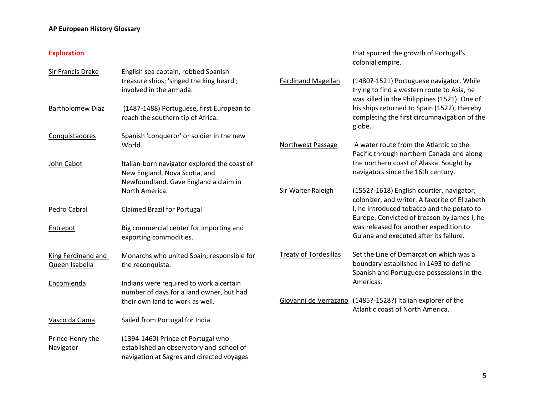#### **Exploration**

|                         |                                                                                     |                              | colonial empire.                                                                                                                       |
|-------------------------|-------------------------------------------------------------------------------------|------------------------------|----------------------------------------------------------------------------------------------------------------------------------------|
| Sir Francis Drake       | English sea captain, robbed Spanish                                                 |                              |                                                                                                                                        |
|                         | treasure ships; 'singed the king beard';<br>involved in the armada.                 | <b>Ferdinand Magellan</b>    | (1480?-1521) Portuguese navigator. While<br>trying to find a western route to Asia, he<br>was killed in the Philippines (1521). One of |
| <b>Bartholomew Diaz</b> | (1487-1488) Portuguese, first European to<br>reach the southern tip of Africa.      |                              | his ships returned to Spain (1522), thereby<br>completing the first circumnavigation of the<br>globe.                                  |
| Conquistadores          | Spanish 'conqueror' or soldier in the new                                           |                              |                                                                                                                                        |
|                         | World.                                                                              | Northwest Passage            | A water route from the Atlantic to the<br>Pacific through northern Canada and along                                                    |
| John Cabot              | Italian-born navigator explored the coast of<br>New England, Nova Scotia, and       |                              | the northern coast of Alaska. Sought by<br>navigators since the 16th century.                                                          |
|                         | Newfoundland. Gave England a claim in<br>North America.                             | Sir Walter Raleigh           | (1552?-1618) English courtier, navigator,<br>colonizer, and writer. A favorite of Elizabeth                                            |
| Pedro Cabral            | <b>Claimed Brazil for Portugal</b>                                                  |                              | I, he introduced tobacco and the potato to<br>Europe. Convicted of treason by James I, he                                              |
| Entrepot                | Big commercial center for importing and<br>exporting commodities.                   |                              | was released for another expedition to<br>Guiana and executed after its failure.                                                       |
| King Ferdinand and      | Monarchs who united Spain; responsible for                                          | <b>Treaty of Tordesillas</b> | Set the Line of Demarcation which was a<br>boundary established in 1493 to define                                                      |
| Queen Isabella          | the reconquista.                                                                    |                              | Spanish and Portuguese possessions in the                                                                                              |
| Encomienda              | Indians were required to work a certain<br>number of days for a land owner, but had |                              | Americas.                                                                                                                              |
|                         | their own land to work as well.                                                     |                              | Giovanni de Verrazano (1485?-1528?) Italian explorer of the<br>Atlantic coast of North America.                                        |
| Vasco da Gama           | Sailed from Portugal for India.                                                     |                              |                                                                                                                                        |
| Prince Henry the        | (1394-1460) Prince of Portugal who                                                  |                              |                                                                                                                                        |
| Navigator               | established an observatory and school of                                            |                              |                                                                                                                                        |
|                         | navigation at Sagres and directed voyages                                           |                              |                                                                                                                                        |

that spurred the growth of Portugal's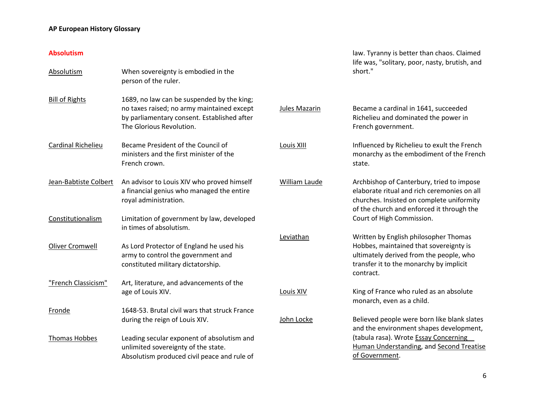#### **Absolutism**

| <b>Absolutism</b>         | When sovereignty is embodied in the<br>person of the ruler.                                                                                                         |
|---------------------------|---------------------------------------------------------------------------------------------------------------------------------------------------------------------|
| <b>Bill of Rights</b>     | 1689, no law can be suspended by the king;<br>no taxes raised; no army maintained except<br>by parliamentary consent. Established after<br>The Glorious Revolution. |
| <b>Cardinal Richelieu</b> | Became President of the Council of<br>ministers and the first minister of the<br>French crown.                                                                      |
| Jean-Babtiste Colbert     | An advisor to Louis XIV who proved himself<br>a financial genius who managed the entire<br>royal administration.                                                    |
| Constitutionalism         | Limitation of government by law, developed<br>in times of absolutism.                                                                                               |
| Oliver Cromwell           | As Lord Protector of England he used his<br>army to control the government and<br>constituted military dictatorship.                                                |
| "French Classicism"       | Art, literature, and advancements of the<br>age of Louis XIV.                                                                                                       |
| Fronde                    | 1648-53. Brutal civil wars that struck France<br>during the reign of Louis XIV.                                                                                     |
| <b>Thomas Hobbes</b>      | Leading secular exponent of absolutism and<br>unlimited sovereignty of the state.<br>Absolutism produced civil peace and rule of                                    |

law. Tyranny is better than chaos. Claimed life was, "solitary, poor, nasty, brutish, and short."

Jules Mazarin Became a cardinal in 1641, succeeded Richelieu and dominated the power in French government. Louis XIII Influenced by Richelieu to exult the French monarchy as the embodiment of the French state. William Laude **Archbishop of Canterbury, tried to impose** elaborate ritual and rich ceremonies on all churches. Insisted on complete uniformity of the church and enforced it through the Court of High Commission. Leviathan Written by English philosopher Thomas Hobbes, maintained that sovereignty is ultimately derived from the people, who transfer it to the monarchy by implicit contract. Louis XIV King of France who ruled as an absolute

monarch, even as a child.

John Locke Believed people were born like blank slates and the environment shapes development, (tabula rasa). Wrote Essay Concerning Human Understanding, and Second Treatise of Government.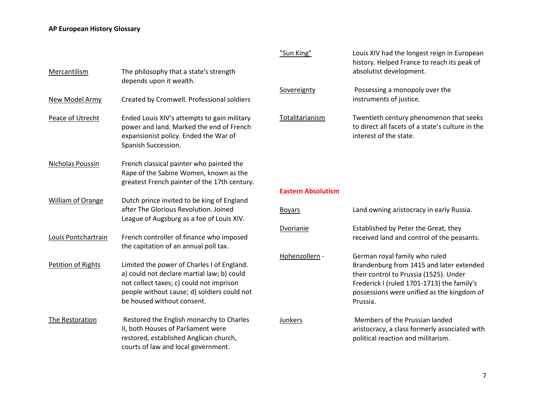|                     |                                                                                                                                                                                                                   | "Sun King"           |
|---------------------|-------------------------------------------------------------------------------------------------------------------------------------------------------------------------------------------------------------------|----------------------|
| Mercantilism        | The philosophy that a state's strength<br>depends upon it wealth.                                                                                                                                                 |                      |
| New Model Army      | Created by Cromwell. Professional soldiers                                                                                                                                                                        | Sovereignty          |
| Peace of Utrecht    | Ended Louis XIV's attempts to gain military<br>power and land. Marked the end of French<br>expansionist policy. Ended the War of<br>Spanish Succession.                                                           | Totalitarianisn      |
| Nicholas Poussin    | French classical painter who painted the<br>Rape of the Sabine Women, known as the<br>greatest French painter of the 17th century.                                                                                |                      |
|                     |                                                                                                                                                                                                                   | <b>Eastern Absol</b> |
| William of Orange   | Dutch prince invited to be king of England<br>after The Glorious Revolution. Joined<br>League of Augsburg as a foe of Louis XIV.                                                                                  | <b>Boyars</b>        |
| Louis Pontchartrain | French controller of finance who imposed<br>the capitation of an annual poll tax.                                                                                                                                 | Dvorianie            |
| Petition of Rights  | Limited the power of Charles I of England.<br>a) could not declare martial law; b) could<br>not collect taxes; c) could not imprison<br>people without cause; d) soldiers could not<br>be housed without consent. | Hohenzollern         |
| The Restoration     | Restored the English monarchy to Charles<br>II, both Houses of Parliament were<br>restored, established Anglican church,<br>courts of law and local government.                                                   | Junkers              |

| "Sun King"      | Louis XIV had the longest reign in European<br>history. Helped France to reach its peak of<br>absolutist development. |
|-----------------|-----------------------------------------------------------------------------------------------------------------------|
| Sovereignty     | Possessing a monopoly over the<br>instruments of justice.                                                             |
| Totalitarianism | Twentieth century phenomenon that seeks<br>to direct all facets of a state's culture in the                           |

interest of the state.

#### **Lutism**

| Boyars         | Land owning aristocracy in early Russia.                                                                                                                                                                                    |
|----------------|-----------------------------------------------------------------------------------------------------------------------------------------------------------------------------------------------------------------------------|
| Dvorianie      | Established by Peter the Great, they<br>received land and control of the peasants.                                                                                                                                          |
| Hohenzollern - | German royal family who ruled<br>Brandenburg from 1415 and later extended<br>their control to Prussia (1525). Under<br>Frederick I (ruled 1701-1713) the family's<br>possessions were unified as the kingdom of<br>Prussia. |
| Junkers        | Members of the Prussian landed<br>aristocracy, a class formerly associated with<br>political reaction and militarism.                                                                                                       |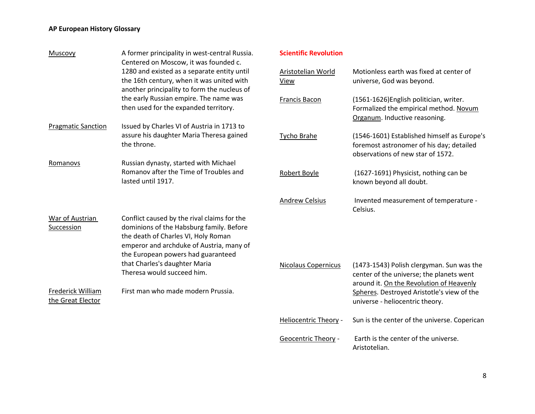| Muscovy                                            | A former principality in west-central Russia.<br>Centered on Moscow, it was founded c.                                                                                                                                                                                                                                | <b>Scientific Revolution</b> |                                                                                                                                                                                 |
|----------------------------------------------------|-----------------------------------------------------------------------------------------------------------------------------------------------------------------------------------------------------------------------------------------------------------------------------------------------------------------------|------------------------------|---------------------------------------------------------------------------------------------------------------------------------------------------------------------------------|
|                                                    | 1280 and existed as a separate entity until<br>the 16th century, when it was united with<br>another principality to form the nucleus of                                                                                                                                                                               | Aristotelian World<br>View   | Motionless earth was fixed at center of<br>universe, God was beyond.                                                                                                            |
|                                                    | the early Russian empire. The name was<br>then used for the expanded territory.                                                                                                                                                                                                                                       | <b>Francis Bacon</b>         | (1561-1626) English politician, writer.<br>Formalized the empirical method. Novum<br>Organum. Inductive reasoning.                                                              |
| <b>Pragmatic Sanction</b>                          | Issued by Charles VI of Austria in 1713 to<br>assure his daughter Maria Theresa gained<br>the throne.                                                                                                                                                                                                                 | <b>Tycho Brahe</b>           | (1546-1601) Established himself as Europe's<br>foremost astronomer of his day; detailed<br>observations of new star of 1572.                                                    |
| Romanovs                                           | Russian dynasty, started with Michael<br>Romanov after the Time of Troubles and<br>lasted until 1917.                                                                                                                                                                                                                 | Robert Boyle                 | (1627-1691) Physicist, nothing can be<br>known beyond all doubt.                                                                                                                |
|                                                    |                                                                                                                                                                                                                                                                                                                       | <b>Andrew Celsius</b>        | Invented measurement of temperature -<br>Celsius.                                                                                                                               |
| War of Austrian<br>Succession<br>Frederick William | Conflict caused by the rival claims for the<br>dominions of the Habsburg family. Before<br>the death of Charles VI, Holy Roman<br>emperor and archduke of Austria, many of<br>the European powers had guaranteed<br>that Charles's daughter Maria<br>Theresa would succeed him.<br>First man who made modern Prussia. | <b>Nicolaus Copernicus</b>   | (1473-1543) Polish clergyman. Sun was the<br>center of the universe; the planets went<br>around it. On the Revolution of Heavenly<br>Spheres. Destroyed Aristotle's view of the |
| the Great Elector                                  |                                                                                                                                                                                                                                                                                                                       |                              | universe - heliocentric theory.                                                                                                                                                 |
|                                                    |                                                                                                                                                                                                                                                                                                                       | <b>Heliocentric Theory -</b> | Sun is the center of the universe. Coperican                                                                                                                                    |
|                                                    |                                                                                                                                                                                                                                                                                                                       | <b>Geocentric Theory -</b>   | Earth is the center of the universe.                                                                                                                                            |

8

Aristotelian.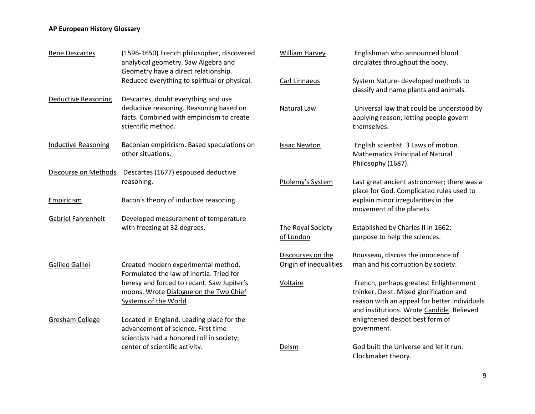| <b>Rene Descartes</b>      | (1596-1650) French philosopher, discovered<br>analytical geometry. Saw Algebra and<br>Geometry have a direct relationship.                        | William Harvey                              | Englishman who announced blood<br>circulates throughout the body.                                                                                                              |
|----------------------------|---------------------------------------------------------------------------------------------------------------------------------------------------|---------------------------------------------|--------------------------------------------------------------------------------------------------------------------------------------------------------------------------------|
|                            | Reduced everything to spiritual or physical.                                                                                                      | Carl Linnaeus                               | System Nature- developed methods to<br>classify and name plants and animals.                                                                                                   |
| <b>Deductive Reasoning</b> | Descartes, doubt everything and use<br>deductive reasoning. Reasoning based on<br>facts. Combined with empiricism to create<br>scientific method. | Natural Law                                 | Universal law that could be understood by<br>applying reason; letting people govern<br>themselves.                                                                             |
| <b>Inductive Reasoning</b> | Baconian empiricism. Based speculations on<br>other situations.                                                                                   | <b>Isaac Newton</b>                         | English scientist. 3 Laws of motion.<br><b>Mathematics Principal of Natural</b><br>Philosophy (1687).                                                                          |
| Discourse on Methods       | Descartes (1677) espoused deductive<br>reasoning.                                                                                                 | Ptolemy's System                            | Last great ancient astronomer; there was a<br>place for God. Complicated rules used to                                                                                         |
| Empiricism                 | Bacon's theory of inductive reasoning.                                                                                                            |                                             | explain minor irregularities in the<br>movement of the planets.                                                                                                                |
| Gabriel Fahrenheit         | Developed measurement of temperature<br>with freezing at 32 degrees.                                                                              | The Royal Society<br>of London              | Established by Charles II in 1662;<br>purpose to help the sciences.                                                                                                            |
| Galileo Galilei            | Created modern experimental method.<br>Formulated the law of inertia. Tried for                                                                   | Discourses on the<br>Origin of inequalities | Rousseau, discuss the innocence of<br>man and his corruption by society.                                                                                                       |
|                            | heresy and forced to recant. Saw Jupiter's<br>moons. Wrote Dialogue on the Two Chief<br><b>Systems of the World</b>                               | Voltaire                                    | French, perhaps greatest Enlightenment<br>thinker. Deist. Mixed glorification and<br>reason with an appeal for better individuals<br>and institutions. Wrote Candide. Believed |
| <b>Gresham College</b>     | Located in England. Leading place for the<br>advancement of science. First time<br>scientists had a honored roll in society;                      |                                             | enlightened despot best form of<br>government.                                                                                                                                 |
|                            | center of scientific activity.                                                                                                                    | Deism                                       | God built the Universe and let it run.<br>Clockmaker theory.                                                                                                                   |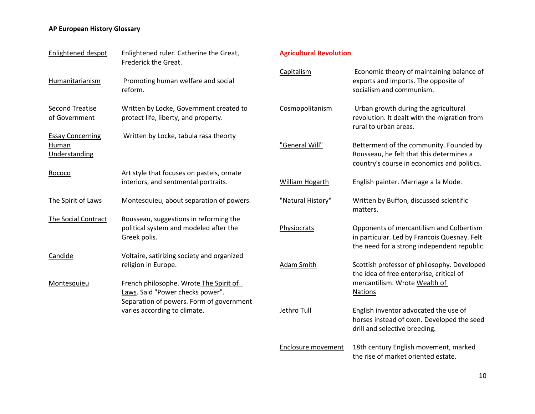| Enlightened despot                                | Enlightened ruler. Catherine the Great,<br>Frederick the Great.                                                                                        | Agr             |
|---------------------------------------------------|--------------------------------------------------------------------------------------------------------------------------------------------------------|-----------------|
| Humanitarianism                                   | Promoting human welfare and social<br>reform.                                                                                                          | Car             |
| <b>Second Treatise</b><br>of Government           | Written by Locke, Government created to<br>protect life, liberty, and property.                                                                        | Cos             |
| <b>Essay Concerning</b><br>Human<br>Understanding | Written by Locke, tabula rasa theorty                                                                                                                  | "G6             |
| Rococo                                            | Art style that focuses on pastels, ornate<br>interiors, and sentmental portraits.                                                                      | Wil             |
| The Spirit of Laws                                | Montesquieu, about separation of powers.                                                                                                               | "Na             |
| The Social Contract                               | Rousseau, suggestions in reforming the<br>political system and modeled after the<br>Greek polis.                                                       | Ph <sub>1</sub> |
| Candide                                           | Voltaire, satirizing society and organized<br>religion in Europe.                                                                                      | <u>Ada</u>      |
| Montesquieu                                       | French philosophe. Wrote The Spirit of<br>Laws. Said "Power checks power".<br>Separation of powers. Form of government<br>varies according to climate. | Jetl            |

#### **Agricultural Revolution**

| Capitalism         | Economic theory of maintaining balance of<br>exports and imports. The opposite of<br>socialism and communism.                           |
|--------------------|-----------------------------------------------------------------------------------------------------------------------------------------|
| Cosmopolitanism    | Urban growth during the agricultural<br>revolution. It dealt with the migration from<br>rural to urban areas.                           |
| "General Will"     | Betterment of the community. Founded by<br>Rousseau, he felt that this determines a<br>country's course in economics and politics.      |
| William Hogarth    | English painter. Marriage a la Mode.                                                                                                    |
| "Natural History"  | Written by Buffon, discussed scientific<br>matters.                                                                                     |
| Physiocrats        | Opponents of mercantilism and Colbertism<br>in particular. Led by Francois Quesnay. Felt<br>the need for a strong independent republic. |
| Adam Smith         | Scottish professor of philosophy. Developed<br>the idea of free enterprise, critical of<br>mercantilism. Wrote Wealth of<br>Nations     |
| Jethro Tull        | English inventor advocated the use of<br>horses instead of oxen. Developed the seed<br>drill and selective breeding.                    |
| Enclosure movement | 18th century English movement, marked<br>the rise of market oriented estate.                                                            |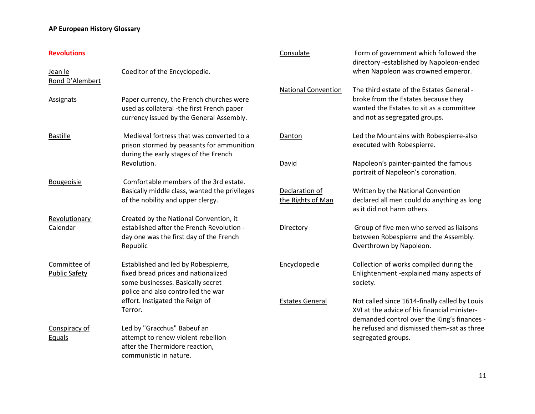| <b>Revolutions</b>                   |                                                                                                                                                       | Consulate                           | Form of government which followed the<br>directory -established by Napoleon-ended                                                                             |
|--------------------------------------|-------------------------------------------------------------------------------------------------------------------------------------------------------|-------------------------------------|---------------------------------------------------------------------------------------------------------------------------------------------------------------|
| Jean le<br>Rond D'Alembert           | Coeditor of the Encyclopedie.                                                                                                                         |                                     | when Napoleon was crowned emperor.                                                                                                                            |
| Assignats                            | Paper currency, the French churches were<br>used as collateral -the first French paper<br>currency issued by the General Assembly.                    | <b>National Convention</b>          | The third estate of the Estates General -<br>broke from the Estates because they<br>wanted the Estates to sit as a committee<br>and not as segregated groups. |
| <b>Bastille</b>                      | Medieval fortress that was converted to a<br>prison stormed by peasants for ammunition<br>during the early stages of the French                       | Danton                              | Led the Mountains with Robespierre-also<br>executed with Robespierre.                                                                                         |
|                                      | Revolution.                                                                                                                                           | David                               | Napoleon's painter-painted the famous<br>portrait of Napoleon's coronation.                                                                                   |
| <b>Bougeoisie</b>                    | Comfortable members of the 3rd estate.<br>Basically middle class, wanted the privileges<br>of the nobility and upper clergy.                          | Declaration of<br>the Rights of Man | Written by the National Convention<br>declared all men could do anything as long<br>as it did not harm others.                                                |
| Revolutionary<br>Calendar            | Created by the National Convention, it<br>established after the French Revolution -<br>day one was the first day of the French<br>Republic            | Directory                           | Group of five men who served as liaisons<br>between Robespierre and the Assembly.<br>Overthrown by Napoleon.                                                  |
| Committee of<br><b>Public Safety</b> | Established and led by Robespierre,<br>fixed bread prices and nationalized<br>some businesses. Basically secret<br>police and also controlled the war | Encyclopedie                        | Collection of works compiled during the<br>Enlightenment -explained many aspects of<br>society.                                                               |
|                                      | effort. Instigated the Reign of<br>Terror.                                                                                                            | <b>Estates General</b>              | Not called since 1614-finally called by Louis<br>XVI at the advice of his financial minister-<br>demanded control over the King's finances -                  |
| Conspiracy of<br>Equals              | Led by "Gracchus" Babeuf an<br>attempt to renew violent rebellion<br>after the Thermidore reaction,<br>communistic in nature.                         |                                     | he refused and dismissed them-sat as three<br>segregated groups.                                                                                              |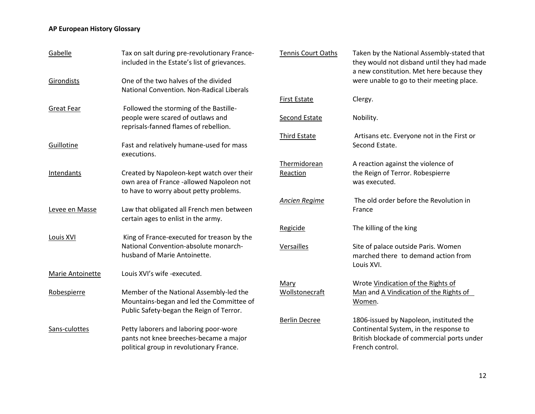| Gabelle           | Tax on salt during pre-revolutionary France-<br>included in the Estate's list of grievances.                                    |
|-------------------|---------------------------------------------------------------------------------------------------------------------------------|
| Girondists        | One of the two halves of the divided<br>National Convention. Non-Radical Liberals                                               |
| Great Fear        | Followed the storming of the Bastille-<br>people were scared of outlaws and<br>reprisals-fanned flames of rebellion.            |
| Guillotine        | Fast and relatively humane-used for mass<br>executions.                                                                         |
| <b>Intendants</b> | Created by Napoleon-kept watch over their<br>own area of France -allowed Napoleon not<br>to have to worry about petty problems. |
| Levee en Masse    | Law that obligated all French men between<br>certain ages to enlist in the army.                                                |
| Louis XVI         | King of France-executed for treason by the<br>National Convention-absolute monarch-<br>husband of Marie Antoinette.             |
| Marie Antoinette  | Louis XVI's wife -executed.                                                                                                     |
| Robespierre       | Member of the National Assembly-led the<br>Mountains-began and led the Committee of<br>Public Safety-began the Reign of Terror. |
| Sans-culottes     | Petty laborers and laboring poor-wore<br>pants not knee breeches-became a major<br>political group in revolutionary France.     |

| Tennis Court Oaths       | Taken by the National Assembly-stated that<br>they would not disband until they had made<br>a new constitution. Met here because they<br>were unable to go to their meeting place. |
|--------------------------|------------------------------------------------------------------------------------------------------------------------------------------------------------------------------------|
| First Estate             | Clergy.                                                                                                                                                                            |
| Second Estate            | Nobility.                                                                                                                                                                          |
| Third Estate             | Artisans etc. Everyone not in the First or<br>Second Estate.                                                                                                                       |
| Thermidorean<br>Reaction | A reaction against the violence of<br>the Reign of Terror. Robespierre<br>was executed.                                                                                            |
| <u>Ancien Regime</u>     | The old order before the Revolution in<br>France                                                                                                                                   |
| Regicide                 | The killing of the king                                                                                                                                                            |
| Versailles               | Site of palace outside Paris. Women<br>marched there to demand action from<br>Louis XVI.                                                                                           |
| Mary<br>Wollstonecraft   | Wrote Vindication of the Rights of<br>Man and A Vindication of the Rights of<br>Women.                                                                                             |
| Berlin Decree            | 1806-issued by Napoleon, instituted the<br>Continental System, in the response to<br>British blockade of commercial ports under<br>French control.                                 |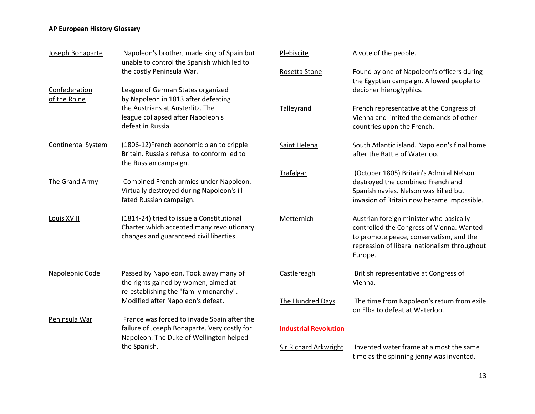| Joseph Bonaparte              | Napoleon's brother, made king of Spain but<br>unable to control the Spanish which led to                                               | Plebiscite                   | A vote of the people.                                                                                                                                                                      |
|-------------------------------|----------------------------------------------------------------------------------------------------------------------------------------|------------------------------|--------------------------------------------------------------------------------------------------------------------------------------------------------------------------------------------|
|                               | the costly Peninsula War.                                                                                                              | Rosetta Stone                | Found by one of Napoleon's officers during<br>the Egyptian campaign. Allowed people to                                                                                                     |
| Confederation<br>of the Rhine | League of German States organized<br>by Napoleon in 1813 after defeating                                                               |                              | decipher hieroglyphics.                                                                                                                                                                    |
|                               | the Austrians at Austerlitz. The<br>league collapsed after Napoleon's<br>defeat in Russia.                                             | Talleyrand                   | French representative at the Congress of<br>Vienna and limited the demands of other<br>countries upon the French.                                                                          |
| <b>Continental System</b>     | (1806-12)French economic plan to cripple<br>Britain. Russia's refusal to conform led to<br>the Russian campaign.                       | Saint Helena                 | South Atlantic island. Napoleon's final home<br>after the Battle of Waterloo.                                                                                                              |
| The Grand Army                | Combined French armies under Napoleon.<br>Virtually destroyed during Napoleon's ill-<br>fated Russian campaign.                        | Trafalgar                    | (October 1805) Britain's Admiral Nelson<br>destroyed the combined French and<br>Spanish navies. Nelson was killed but<br>invasion of Britain now became impossible.                        |
| Louis XVIII                   | (1814-24) tried to issue a Constitutional<br>Charter which accepted many revolutionary<br>changes and guaranteed civil liberties       | Metternich -                 | Austrian foreign minister who basically<br>controlled the Congress of Vienna. Wanted<br>to promote peace, conservatism, and the<br>repression of libaral nationalism throughout<br>Europe. |
| Napoleonic Code               | Passed by Napoleon. Took away many of<br>the rights gained by women, aimed at<br>re-establishing the "family monarchy".                | Castlereagh                  | British representative at Congress of<br>Vienna.                                                                                                                                           |
|                               | Modified after Napoleon's defeat.                                                                                                      | The Hundred Days             | The time from Napoleon's return from exile<br>on Elba to defeat at Waterloo.                                                                                                               |
| Peninsula War                 | France was forced to invade Spain after the<br>failure of Joseph Bonaparte. Very costly for<br>Napoleon. The Duke of Wellington helped | <b>Industrial Revolution</b> |                                                                                                                                                                                            |
|                               | the Spanish.                                                                                                                           | Sir Richard Arkwright        | Invented water frame at almost the same<br>time as the spinning jenny was invented.                                                                                                        |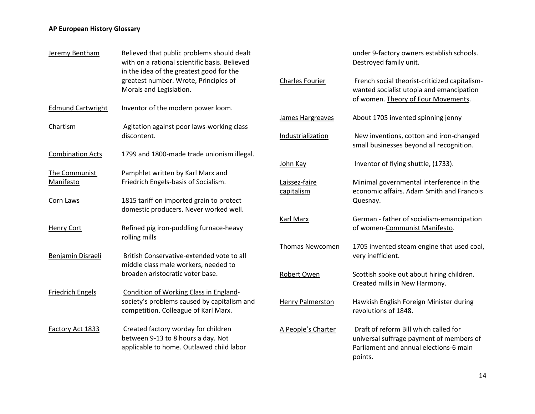| Jeremy Bentham           | Believed that public problems should dealt<br>with on a rational scientific basis. Believed<br>in the idea of the greatest good for the<br>greatest number. Wrote, Principles of<br>Morals and Legislation. |  |
|--------------------------|-------------------------------------------------------------------------------------------------------------------------------------------------------------------------------------------------------------|--|
| <b>Edmund Cartwright</b> | Inventor of the modern power loom.                                                                                                                                                                          |  |
| <b>Chartism</b>          | Agitation against poor laws-working class<br>discontent.                                                                                                                                                    |  |
| <b>Combination Acts</b>  | 1799 and 1800-made trade unionism illegal.                                                                                                                                                                  |  |
| The Communist            | Pamphlet written by Karl Marx and                                                                                                                                                                           |  |
| Manifesto                | Friedrich Engels-basis of Socialism.                                                                                                                                                                        |  |
| Corn Laws                | 1815 tariff on imported grain to protect<br>domestic producers. Never worked well.                                                                                                                          |  |
| Henry Cort               | Refined pig iron-puddling furnace-heavy<br>rolling mills                                                                                                                                                    |  |
| Benjamin Disraeli        | British Conservative-extended vote to all<br>middle class male workers, needed to                                                                                                                           |  |
|                          | broaden aristocratic voter base.                                                                                                                                                                            |  |
| <b>Friedrich Engels</b>  | Condition of Working Class in England-<br>society's problems caused by capitalism and<br>competition. Colleague of Karl Marx.                                                                               |  |
| Factory Act 1833         | Created factory worday for children<br>between 9-13 to 8 hours a day. Not<br>applicable to home. Outlawed child labor                                                                                       |  |

|                             | under 9-factory owners establish schools.<br>Destroyed family unit.                                                                    |
|-----------------------------|----------------------------------------------------------------------------------------------------------------------------------------|
| <b>Charles Fourier</b>      | French social theorist-criticized capitalism-<br>wanted socialist utopia and emancipation<br>of women. Theory of Four Movements.       |
| James Hargreaves            | About 1705 invented spinning jenny                                                                                                     |
| Industrialization           | New inventions, cotton and iron-changed<br>small businesses beyond all recognition.                                                    |
| John Kay                    | Inventor of flying shuttle, (1733).                                                                                                    |
| Laissez-faire<br>capitalism | Minimal governmental interference in the<br>economic affairs. Adam Smith and Francois<br>Quesnay.                                      |
| Karl Marx                   | German - father of socialism-emancipation<br>of women-Communist Manifesto.                                                             |
| Thomas Newcomen             | 1705 invented steam engine that used coal,<br>very inefficient.                                                                        |
| Robert Owen                 | Scottish spoke out about hiring children.<br>Created mills in New Harmony.                                                             |
| <b>Henry Palmerston</b>     | Hawkish English Foreign Minister during<br>revolutions of 1848.                                                                        |
| A People's Charter          | Draft of reform Bill which called for<br>universal suffrage payment of members of<br>Parliament and annual elections-6 main<br>points. |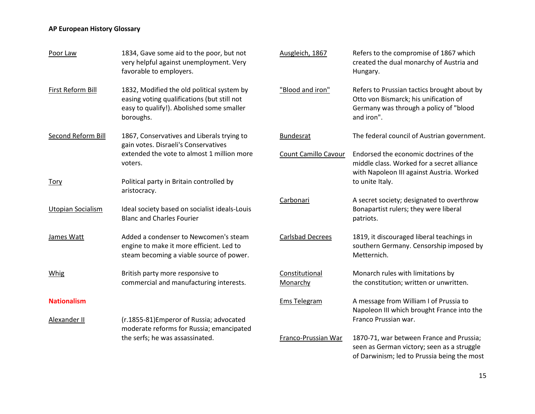| Poor Law                 | 1834, Gave some aid to the poor, but not<br>very helpful against unemployment. Very<br>favorable to employers.                                      | Ausgleich, 1867            | Refers to the compromise of 1867 which<br>created the dual monarchy of Austria and<br>Hungary.                                               |
|--------------------------|-----------------------------------------------------------------------------------------------------------------------------------------------------|----------------------------|----------------------------------------------------------------------------------------------------------------------------------------------|
| First Reform Bill        | 1832, Modified the old political system by<br>easing voting qualifications (but still not<br>easy to qualify!). Abolished some smaller<br>boroughs. | "Blood and iron"           | Refers to Prussian tactics brought about by<br>Otto von Bismarck; his unification of<br>Germany was through a policy of "blood<br>and iron". |
| Second Reform Bill       | 1867, Conservatives and Liberals trying to<br>gain votes. Disraeli's Conservatives                                                                  | <b>Bundesrat</b>           | The federal council of Austrian government.                                                                                                  |
|                          | extended the vote to almost 1 million more<br>voters.                                                                                               | Count Camillo Cavour       | Endorsed the economic doctrines of the<br>middle class. Worked for a secret alliance<br>with Napoleon III against Austria. Worked            |
| <u>Tory</u>              | Political party in Britain controlled by<br>aristocracy.                                                                                            |                            | to unite Italy.                                                                                                                              |
| <b>Utopian Socialism</b> | Ideal society based on socialist ideals-Louis<br><b>Blanc and Charles Fourier</b>                                                                   | Carbonari                  | A secret society; designated to overthrow<br>Bonapartist rulers; they were liberal<br>patriots.                                              |
| James Watt               | Added a condenser to Newcomen's steam<br>engine to make it more efficient. Led to<br>steam becoming a viable source of power.                       | <b>Carlsbad Decrees</b>    | 1819, it discouraged liberal teachings in<br>southern Germany. Censorship imposed by<br>Metternich.                                          |
| <b>Whig</b>              | British party more responsive to<br>commercial and manufacturing interests.                                                                         | Constitutional<br>Monarchy | Monarch rules with limitations by<br>the constitution; written or unwritten.                                                                 |
| <b>Nationalism</b>       |                                                                                                                                                     | <b>Ems Telegram</b>        | A message from William I of Prussia to<br>Napoleon III which brought France into the                                                         |
| Alexander II             | (r.1855-81) Emperor of Russia; advocated<br>moderate reforms for Russia; emancipated                                                                |                            | Franco Prussian war.                                                                                                                         |
|                          | the serfs; he was assassinated.                                                                                                                     | Franco-Prussian War        | 1870-71, war between France and Prussia;<br>seen as German victory; seen as a struggle<br>of Darwinism; led to Prussia being the most        |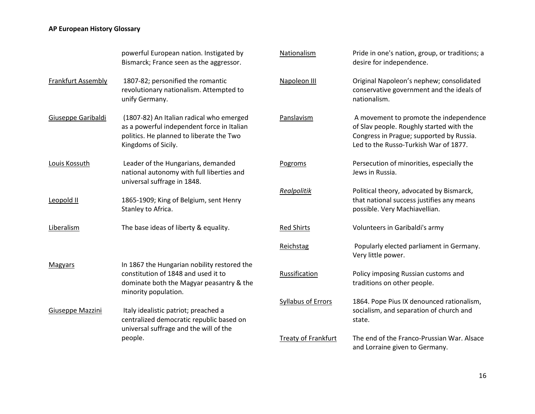|                    | powerful European nation. Instigated by<br>Bismarck; France seen as the aggressor.                                                                        | Nationalism                | Pride in one's nation, group, or traditions; a<br>desire for independence.                                                                                              |
|--------------------|-----------------------------------------------------------------------------------------------------------------------------------------------------------|----------------------------|-------------------------------------------------------------------------------------------------------------------------------------------------------------------------|
| Frankfurt Assembly | 1807-82; personified the romantic<br>revolutionary nationalism. Attempted to<br>unify Germany.                                                            | Napoleon III               | Original Napoleon's nephew; consolidated<br>conservative government and the ideals of<br>nationalism.                                                                   |
| Giuseppe Garibaldi | (1807-82) An Italian radical who emerged<br>as a powerful independent force in Italian<br>politics. He planned to liberate the Two<br>Kingdoms of Sicily. | Panslavism                 | A movement to promote the independence<br>of Slav people. Roughly started with the<br>Congress in Prague; supported by Russia.<br>Led to the Russo-Turkish War of 1877. |
| Louis Kossuth      | Leader of the Hungarians, demanded<br>national autonomy with full liberties and<br>universal suffrage in 1848.                                            | Pogroms                    | Persecution of minorities, especially the<br>Jews in Russia.                                                                                                            |
| Leopold II         | 1865-1909; King of Belgium, sent Henry<br>Stanley to Africa.                                                                                              | Realpolitik                | Political theory, advocated by Bismarck,<br>that national success justifies any means<br>possible. Very Machiavellian.                                                  |
| Liberalism         | The base ideas of liberty & equality.                                                                                                                     | <b>Red Shirts</b>          | Volunteers in Garibaldi's army                                                                                                                                          |
|                    |                                                                                                                                                           | Reichstag                  | Popularly elected parliament in Germany.<br>Very little power.                                                                                                          |
| <b>Magyars</b>     | In 1867 the Hungarian nobility restored the<br>constitution of 1848 and used it to<br>dominate both the Magyar peasantry & the<br>minority population.    | Russification              | Policy imposing Russian customs and<br>traditions on other people.                                                                                                      |
| Giuseppe Mazzini   | Italy idealistic patriot; preached a<br>centralized democratic republic based on<br>universal suffrage and the will of the                                | Syllabus of Errors         | 1864. Pope Pius IX denounced rationalism,<br>socialism, and separation of church and<br>state.                                                                          |
|                    | people.                                                                                                                                                   | <b>Treaty of Frankfurt</b> | The end of the Franco-Prussian War. Alsace<br>and Lorraine given to Germany.                                                                                            |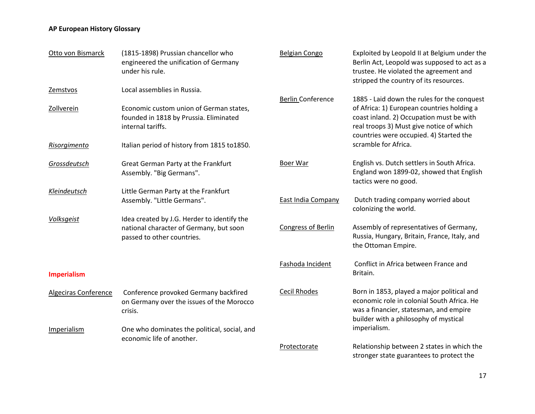| Otto von Bismarck      | (1815-1898) Prussian chancellor who<br>engineered the unification of Germany<br>under his rule.                                       | <b>Belgian Congo</b>      | Exploited by Leopold II at Belgium under the<br>Berlin Act, Leopold was supposed to act as a<br>trustee. He violated the agreement and<br>stripped the country of its resources.  |
|------------------------|---------------------------------------------------------------------------------------------------------------------------------------|---------------------------|-----------------------------------------------------------------------------------------------------------------------------------------------------------------------------------|
| Zemstvos<br>Zollverein | Local assemblies in Russia.<br>Economic custom union of German states,<br>founded in 1818 by Prussia. Eliminated<br>internal tariffs. | <b>Berlin Conference</b>  | 1885 - Laid down the rules for the conquest<br>of Africa: 1) European countries holding a<br>coast inland. 2) Occupation must be with<br>real troops 3) Must give notice of which |
| Risorgimento           | Italian period of history from 1815 to1850.                                                                                           |                           | countries were occupied. 4) Started the<br>scramble for Africa.                                                                                                                   |
| Grossdeutsch           | Great German Party at the Frankfurt<br>Assembly. "Big Germans".                                                                       | Boer War                  | English vs. Dutch settlers in South Africa.<br>England won 1899-02, showed that English<br>tactics were no good.                                                                  |
| Kleindeutsch           | Little German Party at the Frankfurt<br>Assembly. "Little Germans".                                                                   | <b>East India Company</b> | Dutch trading company worried about<br>colonizing the world.                                                                                                                      |
| Volksgeist             | Idea created by J.G. Herder to identify the<br>national character of Germany, but soon<br>passed to other countries.                  | Congress of Berlin        | Assembly of representatives of Germany,<br>Russia, Hungary, Britain, France, Italy, and<br>the Ottoman Empire.                                                                    |
| <b>Imperialism</b>     |                                                                                                                                       | Fashoda Incident          | Conflict in Africa between France and<br>Britain.                                                                                                                                 |
| Algeciras Conference   | Conference provoked Germany backfired<br>on Germany over the issues of the Morocco<br>crisis.                                         | <b>Cecil Rhodes</b>       | Born in 1853, played a major political and<br>economic role in colonial South Africa. He<br>was a financier, statesman, and empire<br>builder with a philosophy of mystical       |
| Imperialism            | One who dominates the political, social, and<br>economic life of another.                                                             |                           | imperialism.                                                                                                                                                                      |
|                        |                                                                                                                                       | Protectorate              | Relationship between 2 states in which the<br>stronger state guarantees to protect the                                                                                            |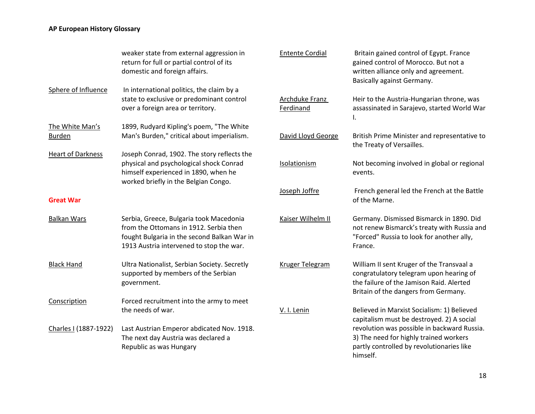|                          | weaker state from external aggression in<br>return for full or partial control of its<br>domestic and foreign affairs.                                                       | <b>Entente Cordial</b>      | Britain gained control of Egypt. France<br>gained control of Morocco. But not a<br>written alliance only and agreement.<br><b>Basically against Germany.</b>             |
|--------------------------|------------------------------------------------------------------------------------------------------------------------------------------------------------------------------|-----------------------------|--------------------------------------------------------------------------------------------------------------------------------------------------------------------------|
| Sphere of Influence      | In international politics, the claim by a<br>state to exclusive or predominant control<br>over a foreign area or territory.                                                  | Archduke Franz<br>Ferdinand | Heir to the Austria-Hungarian throne, was<br>assassinated in Sarajevo, started World War<br>I.                                                                           |
| The White Man's          | 1899, Rudyard Kipling's poem, "The White                                                                                                                                     |                             |                                                                                                                                                                          |
| <b>Burden</b>            | Man's Burden," critical about imperialism.                                                                                                                                   | David Lloyd George          | British Prime Minister and representative to<br>the Treaty of Versailles.                                                                                                |
| <b>Heart of Darkness</b> | Joseph Conrad, 1902. The story reflects the                                                                                                                                  |                             |                                                                                                                                                                          |
|                          | physical and psychological shock Conrad<br>himself experienced in 1890, when he                                                                                              | Isolationism                | Not becoming involved in global or regional<br>events.                                                                                                                   |
|                          | worked briefly in the Belgian Congo.                                                                                                                                         | Joseph Joffre               | French general led the French at the Battle                                                                                                                              |
| <b>Great War</b>         |                                                                                                                                                                              |                             | of the Marne.                                                                                                                                                            |
| <b>Balkan Wars</b>       | Serbia, Greece, Bulgaria took Macedonia<br>from the Ottomans in 1912. Serbia then<br>fought Bulgaria in the second Balkan War in<br>1913 Austria intervened to stop the war. | Kaiser Wilhelm II           | Germany. Dismissed Bismarck in 1890. Did<br>not renew Bismarck's treaty with Russia and<br>"Forced" Russia to look for another ally,<br>France.                          |
| <b>Black Hand</b>        | Ultra Nationalist, Serbian Society. Secretly<br>supported by members of the Serbian<br>government.                                                                           | Kruger Telegram             | William II sent Kruger of the Transvaal a<br>congratulatory telegram upon hearing of<br>the failure of the Jamison Raid. Alerted<br>Britain of the dangers from Germany. |
| Conscription             | Forced recruitment into the army to meet                                                                                                                                     |                             |                                                                                                                                                                          |
|                          | the needs of war.                                                                                                                                                            | V. I. Lenin                 | Believed in Marxist Socialism: 1) Believed<br>capitalism must be destroyed. 2) A social                                                                                  |
| Charles I (1887-1922)    | Last Austrian Emperor abdicated Nov. 1918.                                                                                                                                   |                             | revolution was possible in backward Russia.                                                                                                                              |
|                          | The next day Austria was declared a                                                                                                                                          |                             | 3) The need for highly trained workers                                                                                                                                   |
|                          | Republic as was Hungary                                                                                                                                                      |                             | partly controlled by revolutionaries like<br>himself.                                                                                                                    |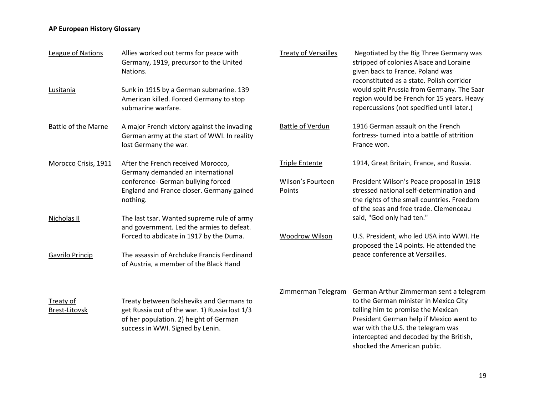| League of Nations                        | Allies worked out terms for peace with<br>Germany, 1919, precursor to the United<br>Nations.                                                                            | <b>Treaty of Versailles</b> | Negotiated by the Big Three Germany was<br>stripped of colonies Alsace and Loraine<br>given back to France. Poland was<br>reconstituted as a state. Polish corridor                                                                                |
|------------------------------------------|-------------------------------------------------------------------------------------------------------------------------------------------------------------------------|-----------------------------|----------------------------------------------------------------------------------------------------------------------------------------------------------------------------------------------------------------------------------------------------|
| Lusitania                                | Sunk in 1915 by a German submarine. 139<br>American killed. Forced Germany to stop<br>submarine warfare.                                                                |                             | would split Prussia from Germany. The Saar<br>region would be French for 15 years. Heavy<br>repercussions (not specified until later.)                                                                                                             |
| <b>Battle of the Marne</b>               | A major French victory against the invading<br>German army at the start of WWI. In reality<br>lost Germany the war.                                                     | <b>Battle of Verdun</b>     | 1916 German assault on the French<br>fortress-turned into a battle of attrition<br>France won.                                                                                                                                                     |
| Morocco Crisis, 1911                     | After the French received Morocco,<br>Germany demanded an international                                                                                                 | <b>Triple Entente</b>       | 1914, Great Britain, France, and Russia.                                                                                                                                                                                                           |
|                                          | conference- German bullying forced<br>England and France closer. Germany gained<br>nothing.                                                                             | Wilson's Fourteen<br>Points | President Wilson's Peace proposal in 1918<br>stressed national self-determination and<br>the rights of the small countries. Freedom<br>of the seas and free trade. Clemenceau                                                                      |
| Nicholas II                              | The last tsar. Wanted supreme rule of army<br>and government. Led the armies to defeat.                                                                                 |                             | said, "God only had ten."                                                                                                                                                                                                                          |
|                                          | Forced to abdicate in 1917 by the Duma.                                                                                                                                 | Woodrow Wilson              | U.S. President, who led USA into WWI. He<br>proposed the 14 points. He attended the                                                                                                                                                                |
| Gavrilo Princip                          | The assassin of Archduke Francis Ferdinand<br>of Austria, a member of the Black Hand                                                                                    |                             | peace conference at Versailles.                                                                                                                                                                                                                    |
| <b>Treaty of</b><br><b>Brest-Litovsk</b> | Treaty between Bolsheviks and Germans to<br>get Russia out of the war. 1) Russia lost 1/3<br>of her population. 2) height of German<br>success in WWI. Signed by Lenin. | Zimmerman Telegram          | German Arthur Zimmerman sent a telegram<br>to the German minister in Mexico City<br>telling him to promise the Mexican<br>President German help if Mexico went to<br>war with the U.S. the telegram was<br>intercepted and decoded by the British, |
|                                          |                                                                                                                                                                         |                             | shocked the American public.                                                                                                                                                                                                                       |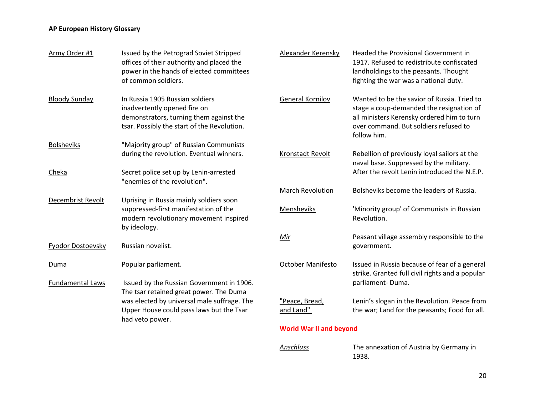| Army Order #1           | Issued by the Petrograd Soviet Stripped<br>offices of their authority and placed the<br>power in the hands of elected committees<br>of common soldiers.   | Alexander Kerensky             | Headed the Provisional Government in<br>1917. Refused to redistribute confiscated<br>landholdings to the peasants. Thought<br>fighting the war was a national duty.                           |
|-------------------------|-----------------------------------------------------------------------------------------------------------------------------------------------------------|--------------------------------|-----------------------------------------------------------------------------------------------------------------------------------------------------------------------------------------------|
| <b>Bloody Sunday</b>    | In Russia 1905 Russian soldiers<br>inadvertently opened fire on<br>demonstrators, turning them against the<br>tsar. Possibly the start of the Revolution. | <b>General Kornilov</b>        | Wanted to be the savior of Russia. Tried to<br>stage a coup-demanded the resignation of<br>all ministers Kerensky ordered him to turn<br>over command. But soldiers refused to<br>follow him. |
| <b>Bolsheviks</b>       | "Majority group" of Russian Communists<br>during the revolution. Eventual winners.                                                                        | Kronstadt Revolt               | Rebellion of previously loyal sailors at the<br>naval base. Suppressed by the military.                                                                                                       |
| Cheka                   | Secret police set up by Lenin-arrested<br>"enemies of the revolution".                                                                                    | <b>March Revolution</b>        | After the revolt Lenin introduced the N.E.P.<br>Bolsheviks become the leaders of Russia.                                                                                                      |
| Decembrist Revolt       | Uprising in Russia mainly soldiers soon<br>suppressed-first manifestation of the<br>modern revolutionary movement inspired<br>by ideology.                | Mensheviks                     | 'Minority group' of Communists in Russian<br>Revolution.                                                                                                                                      |
| Fyodor Dostoevsky       | Russian novelist.                                                                                                                                         | Mir                            | Peasant village assembly responsible to the<br>government.                                                                                                                                    |
| Duma                    | Popular parliament.                                                                                                                                       | <b>October Manifesto</b>       | Issued in Russia because of fear of a general<br>strike. Granted full civil rights and a popular                                                                                              |
| <b>Fundamental Laws</b> | Issued by the Russian Government in 1906.<br>The tsar retained great power. The Duma                                                                      |                                | parliament-Duma.                                                                                                                                                                              |
|                         | was elected by universal male suffrage. The<br>Upper House could pass laws but the Tsar<br>had veto power.                                                | "Peace, Bread,<br>and Land"    | Lenin's slogan in the Revolution. Peace from<br>the war; Land for the peasants; Food for all.                                                                                                 |
|                         |                                                                                                                                                           | <b>World War II and beyond</b> |                                                                                                                                                                                               |
|                         |                                                                                                                                                           | Anschluss                      | The annexation of Austria by Germany in                                                                                                                                                       |

1938.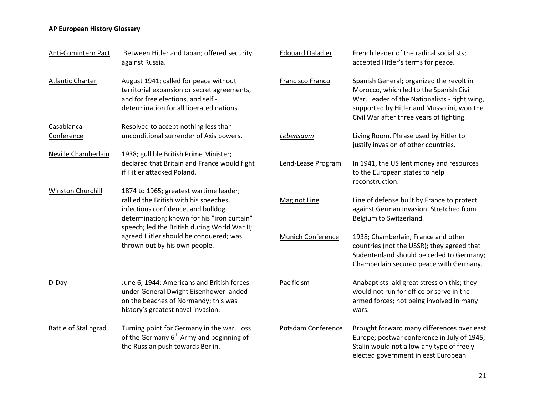| Anti-Comintern Pact         | Between Hitler and Japan; offered security<br>against Russia.                                                                                                               | <b>Edouard Daladier</b>  | French leader of the radical socialists;<br>accepted Hitler's terms for peace.                                                                                                                                                 |
|-----------------------------|-----------------------------------------------------------------------------------------------------------------------------------------------------------------------------|--------------------------|--------------------------------------------------------------------------------------------------------------------------------------------------------------------------------------------------------------------------------|
| <b>Atlantic Charter</b>     | August 1941; called for peace without<br>territorial expansion or secret agreements,<br>and for free elections, and self -<br>determination for all liberated nations.      | Francisco Franco         | Spanish General; organized the revolt in<br>Morocco, which led to the Spanish Civil<br>War. Leader of the Nationalists - right wing,<br>supported by Hitler and Mussolini, won the<br>Civil War after three years of fighting. |
| Casablanca                  | Resolved to accept nothing less than                                                                                                                                        |                          |                                                                                                                                                                                                                                |
| Conference                  | unconditional surrender of Axis powers.                                                                                                                                     | Lebensaum                | Living Room. Phrase used by Hitler to<br>justify invasion of other countries.                                                                                                                                                  |
| <b>Neville Chamberlain</b>  | 1938; gullible British Prime Minister;                                                                                                                                      |                          |                                                                                                                                                                                                                                |
|                             | declared that Britain and France would fight<br>if Hitler attacked Poland.                                                                                                  | Lend-Lease Program       | In 1941, the US lent money and resources<br>to the European states to help<br>reconstruction.                                                                                                                                  |
| Winston Churchill           | 1874 to 1965; greatest wartime leader;                                                                                                                                      |                          |                                                                                                                                                                                                                                |
|                             | rallied the British with his speeches,<br>infectious confidence, and bulldog<br>determination; known for his "iron curtain"<br>speech; led the British during World War II; | <b>Maginot Line</b>      | Line of defense built by France to protect<br>against German invasion. Stretched from<br>Belgium to Switzerland.                                                                                                               |
|                             | agreed Hitler should be conquered; was<br>thrown out by his own people.                                                                                                     | <b>Munich Conference</b> | 1938; Chamberlain, France and other<br>countries (not the USSR); they agreed that<br>Sudentenland should be ceded to Germany;<br>Chamberlain secured peace with Germany.                                                       |
| $D$ -Day                    | June 6, 1944; Americans and British forces<br>under General Dwight Eisenhower landed<br>on the beaches of Normandy; this was<br>history's greatest naval invasion.          | Pacificism               | Anabaptists laid great stress on this; they<br>would not run for office or serve in the<br>armed forces; not being involved in many<br>wars.                                                                                   |
| <b>Battle of Stalingrad</b> | Turning point for Germany in the war. Loss<br>of the Germany 6 <sup>th</sup> Army and beginning of<br>the Russian push towards Berlin.                                      | Potsdam Conference       | Brought forward many differences over east<br>Europe; postwar conference in July of 1945;<br>Stalin would not allow any type of freely<br>elected government in east European                                                  |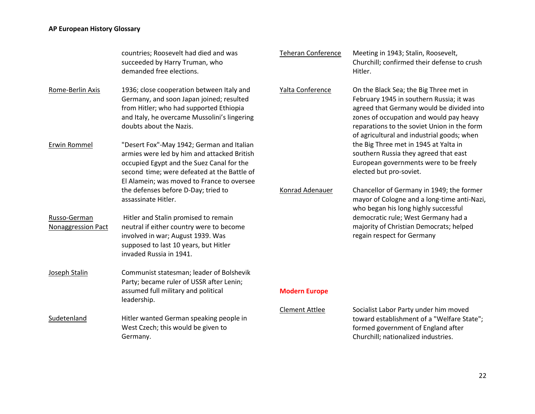|                                    | countries; Roosevelt had died and was<br>succeeded by Harry Truman, who<br>demanded free elections.                                                                                                                                | <b>Teheran Conference</b> | Meeting in 1943; Stalin, Roosevelt,<br>Churchill; confirmed their defense to crush<br>Hitler.                                                                                                                                                                           |
|------------------------------------|------------------------------------------------------------------------------------------------------------------------------------------------------------------------------------------------------------------------------------|---------------------------|-------------------------------------------------------------------------------------------------------------------------------------------------------------------------------------------------------------------------------------------------------------------------|
| Rome-Berlin Axis                   | 1936; close cooperation between Italy and<br>Germany, and soon Japan joined; resulted<br>from Hitler; who had supported Ethiopia<br>and Italy, he overcame Mussolini's lingering<br>doubts about the Nazis.                        | Yalta Conference          | On the Black Sea; the Big Three met in<br>February 1945 in southern Russia; it was<br>agreed that Germany would be divided into<br>zones of occupation and would pay heavy<br>reparations to the soviet Union in the form<br>of agricultural and industrial goods; when |
| Erwin Rommel                       | "Desert Fox"-May 1942; German and Italian<br>armies were led by him and attacked British<br>occupied Egypt and the Suez Canal for the<br>second time; were defeated at the Battle of<br>El Alamein; was moved to France to oversee |                           | the Big Three met in 1945 at Yalta in<br>southern Russia they agreed that east<br>European governments were to be freely<br>elected but pro-soviet.                                                                                                                     |
|                                    | the defenses before D-Day; tried to<br>assassinate Hitler.                                                                                                                                                                         | Konrad Adenauer           | Chancellor of Germany in 1949; the former<br>mayor of Cologne and a long-time anti-Nazi,<br>who began his long highly successful                                                                                                                                        |
| Russo-German<br>Nonaggression Pact | Hitler and Stalin promised to remain<br>neutral if either country were to become<br>involved in war; August 1939. Was<br>supposed to last 10 years, but Hitler<br>invaded Russia in 1941.                                          |                           | democratic rule; West Germany had a<br>majority of Christian Democrats; helped<br>regain respect for Germany                                                                                                                                                            |
| Joseph Stalin                      | Communist statesman; leader of Bolshevik<br>Party; became ruler of USSR after Lenin;<br>assumed full military and political<br>leadership.                                                                                         | <b>Modern Europe</b>      |                                                                                                                                                                                                                                                                         |
| Sudetenland                        | Hitler wanted German speaking people in<br>West Czech; this would be given to<br>Germany.                                                                                                                                          | <b>Clement Attlee</b>     | Socialist Labor Party under him moved<br>toward establishment of a "Welfare State";<br>formed government of England after<br>Churchill; nationalized industries.                                                                                                        |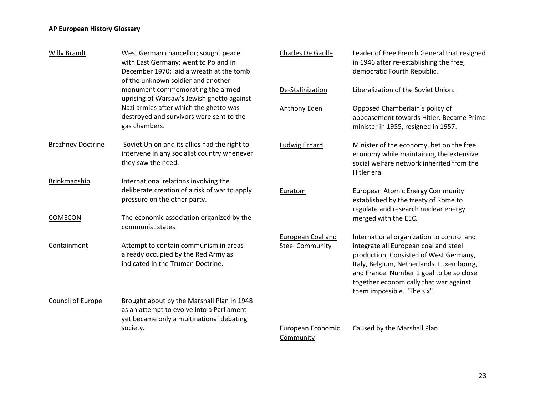| <b>Willy Brandt</b>      | West German chancellor; sought peace<br>with East Germany; went to Poland in<br>December 1970; laid a wreath at the tomb<br>of the unknown soldier and another | Charles De Gaulle                           | Leader of Free French General that resigned<br>in 1946 after re-establishing the free,<br>democratic Fourth Republic.                                                                                                                                                                         |
|--------------------------|----------------------------------------------------------------------------------------------------------------------------------------------------------------|---------------------------------------------|-----------------------------------------------------------------------------------------------------------------------------------------------------------------------------------------------------------------------------------------------------------------------------------------------|
|                          | monument commemorating the armed<br>uprising of Warsaw's Jewish ghetto against                                                                                 | De-Stalinization                            | Liberalization of the Soviet Union.                                                                                                                                                                                                                                                           |
|                          | Nazi armies after which the ghetto was<br>destroyed and survivors were sent to the<br>gas chambers.                                                            | Anthony Eden                                | Opposed Chamberlain's policy of<br>appeasement towards Hitler. Became Prime<br>minister in 1955, resigned in 1957.                                                                                                                                                                            |
| <b>Brezhnev Doctrine</b> | Soviet Union and its allies had the right to<br>intervene in any socialist country whenever<br>they saw the need.                                              | Ludwig Erhard                               | Minister of the economy, bet on the free<br>economy while maintaining the extensive<br>social welfare network inherited from the<br>Hitler era.                                                                                                                                               |
| Brinkmanship             | International relations involving the<br>deliberate creation of a risk of war to apply<br>pressure on the other party.                                         | Euratom                                     | <b>European Atomic Energy Community</b><br>established by the treaty of Rome to<br>regulate and research nuclear energy                                                                                                                                                                       |
| COMECON                  | The economic association organized by the<br>communist states                                                                                                  |                                             | merged with the EEC.                                                                                                                                                                                                                                                                          |
| Containment              | Attempt to contain communism in areas<br>already occupied by the Red Army as<br>indicated in the Truman Doctrine.                                              | European Coal and<br><b>Steel Community</b> | International organization to control and<br>integrate all European coal and steel<br>production. Consisted of West Germany,<br>Italy, Belgium, Netherlands, Luxembourg,<br>and France. Number 1 goal to be so close<br>together economically that war against<br>them impossible. "The six". |
| <b>Council of Europe</b> | Brought about by the Marshall Plan in 1948<br>as an attempt to evolve into a Parliament<br>yet became only a multinational debating                            |                                             |                                                                                                                                                                                                                                                                                               |
|                          | society.                                                                                                                                                       | European Economic<br>Community              | Caused by the Marshall Plan.                                                                                                                                                                                                                                                                  |